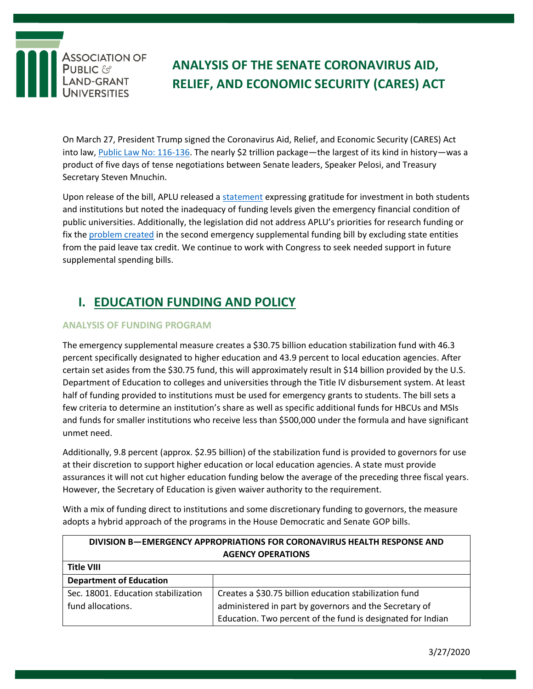

# **ANALYSIS OF THE SENATE CORONAVIRUS AID, RELIEF, AND ECONOMIC SECURITY (CARES) ACT**

On March 27, President Trump signed the Coronavirus Aid, Relief, and Economic Security (CARES) Act into law, [Public Law No: 116-136.](https://www.congress.gov/bill/116th-congress/house-bill/748) The nearly \$2 trillion package—the largest of its kind in history—was a product of five days of tense negotiations between Senate leaders, Speaker Pelosi, and Treasury Secretary Steven Mnuchin.

Upon release of the bill, APLU released a [statement](https://www.aplu.org/news-and-media/News/aplu-statement-on-senate-agreement-on-third-covid-19-emergency-supplemental-bill) expressing gratitude for investment in both students and institutions but noted the inadequacy of funding levels given the emergency financial condition of public universities. Additionally, the legislation did not address APLU's priorities for research funding or fix th[e problem created](https://www.aplu.org/members/councils/governmental-affairs/CGA-library/exclusion-of-public-colleges-and-universities-from-employer-tax-credits-contained-in-hr-6201/file) in the second emergency supplemental funding bill by excluding state entities from the paid leave tax credit. We continue to work with Congress to seek needed support in future supplemental spending bills.

## **I. EDUCATION FUNDING AND POLICY**

#### **ANALYSIS OF FUNDING PROGRAM**

The emergency supplemental measure creates a \$30.75 billion education stabilization fund with 46.3 percent specifically designated to higher education and 43.9 percent to local education agencies. After certain set asides from the \$30.75 fund, this will approximately result in \$14 billion provided by the U.S. Department of Education to colleges and universities through the Title IV disbursement system. At least half of funding provided to institutions must be used for emergency grants to students. The bill sets a few criteria to determine an institution's share as well as specific additional funds for HBCUs and MSIs and funds for smaller institutions who receive less than \$500,000 under the formula and have significant unmet need.

Additionally, 9.8 percent (approx. \$2.95 billion) of the stabilization fund is provided to governors for use at their discretion to support higher education or local education agencies. A state must provide assurances it will not cut higher education funding below the average of the preceding three fiscal years. However, the Secretary of Education is given waiver authority to the requirement.

With a mix of funding direct to institutions and some discretionary funding to governors, the measure adopts a hybrid approach of the programs in the House Democratic and Senate GOP bills.

| DIVISION B-EMERGENCY APPROPRIATIONS FOR CORONAVIRUS HEALTH RESPONSE AND |                                                             |
|-------------------------------------------------------------------------|-------------------------------------------------------------|
| <b>AGENCY OPERATIONS</b>                                                |                                                             |
| <b>Title VIII</b>                                                       |                                                             |
| <b>Department of Education</b>                                          |                                                             |
| Sec. 18001. Education stabilization                                     | Creates a \$30.75 billion education stabilization fund      |
| fund allocations.                                                       | administered in part by governors and the Secretary of      |
|                                                                         | Education. Two percent of the fund is designated for Indian |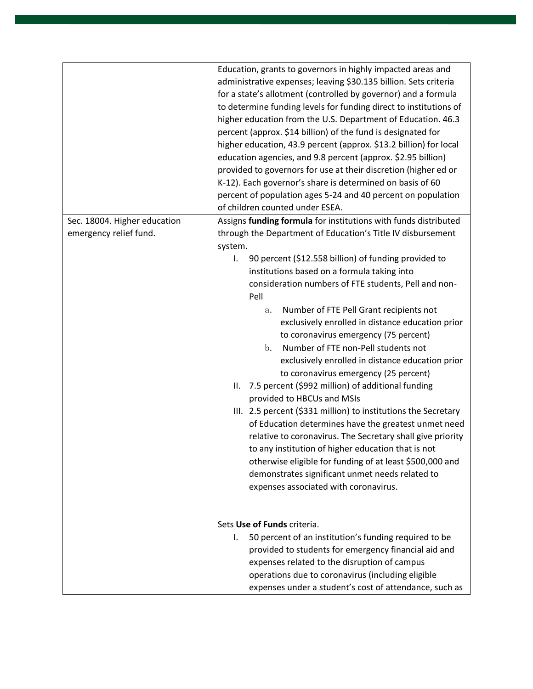|                                                        | Education, grants to governors in highly impacted areas and<br>administrative expenses; leaving \$30.135 billion. Sets criteria<br>for a state's allotment (controlled by governor) and a formula<br>to determine funding levels for funding direct to institutions of<br>higher education from the U.S. Department of Education. 46.3<br>percent (approx. \$14 billion) of the fund is designated for<br>higher education, 43.9 percent (approx. \$13.2 billion) for local<br>education agencies, and 9.8 percent (approx. \$2.95 billion)<br>provided to governors for use at their discretion (higher ed or<br>K-12). Each governor's share is determined on basis of 60                                                                                                                                                                                                                                                                                                                                                                                                                                               |
|--------------------------------------------------------|---------------------------------------------------------------------------------------------------------------------------------------------------------------------------------------------------------------------------------------------------------------------------------------------------------------------------------------------------------------------------------------------------------------------------------------------------------------------------------------------------------------------------------------------------------------------------------------------------------------------------------------------------------------------------------------------------------------------------------------------------------------------------------------------------------------------------------------------------------------------------------------------------------------------------------------------------------------------------------------------------------------------------------------------------------------------------------------------------------------------------|
|                                                        | percent of population ages 5-24 and 40 percent on population<br>of children counted under ESEA.                                                                                                                                                                                                                                                                                                                                                                                                                                                                                                                                                                                                                                                                                                                                                                                                                                                                                                                                                                                                                           |
| Sec. 18004. Higher education<br>emergency relief fund. | Assigns funding formula for institutions with funds distributed<br>through the Department of Education's Title IV disbursement<br>system.<br>90 percent (\$12.558 billion) of funding provided to<br>I.<br>institutions based on a formula taking into<br>consideration numbers of FTE students, Pell and non-<br>Pell<br>Number of FTE Pell Grant recipients not<br>a.<br>exclusively enrolled in distance education prior<br>to coronavirus emergency (75 percent)<br>Number of FTE non-Pell students not<br>$\mathbf{b}$ .<br>exclusively enrolled in distance education prior<br>to coronavirus emergency (25 percent)<br>7.5 percent (\$992 million) of additional funding<br>Ш.<br>provided to HBCUs and MSIs<br>III. 2.5 percent (\$331 million) to institutions the Secretary<br>of Education determines have the greatest unmet need<br>relative to coronavirus. The Secretary shall give priority<br>to any institution of higher education that is not<br>otherwise eligible for funding of at least \$500,000 and<br>demonstrates significant unmet needs related to<br>expenses associated with coronavirus. |
|                                                        | Sets Use of Funds criteria.<br>50 percent of an institution's funding required to be<br>I.<br>provided to students for emergency financial aid and                                                                                                                                                                                                                                                                                                                                                                                                                                                                                                                                                                                                                                                                                                                                                                                                                                                                                                                                                                        |
|                                                        | expenses related to the disruption of campus<br>operations due to coronavirus (including eligible<br>expenses under a student's cost of attendance, such as                                                                                                                                                                                                                                                                                                                                                                                                                                                                                                                                                                                                                                                                                                                                                                                                                                                                                                                                                               |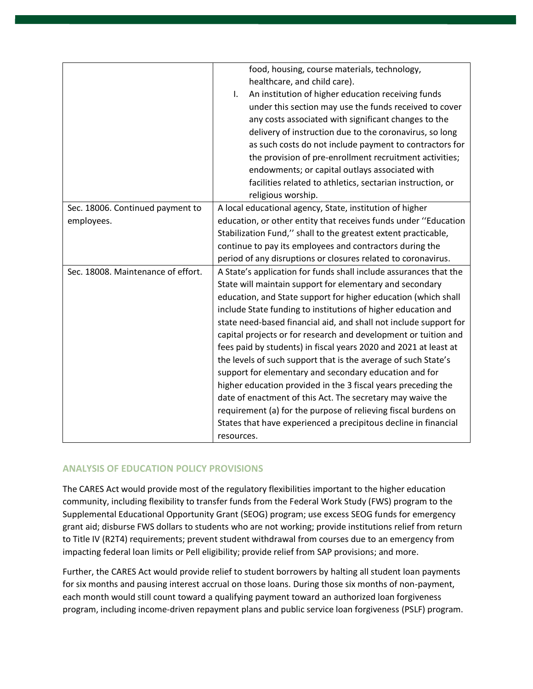|                                    | food, housing, course materials, technology,                      |
|------------------------------------|-------------------------------------------------------------------|
|                                    | healthcare, and child care).                                      |
|                                    | An institution of higher education receiving funds<br>I.          |
|                                    | under this section may use the funds received to cover            |
|                                    | any costs associated with significant changes to the              |
|                                    | delivery of instruction due to the coronavirus, so long           |
|                                    | as such costs do not include payment to contractors for           |
|                                    | the provision of pre-enrollment recruitment activities;           |
|                                    | endowments; or capital outlays associated with                    |
|                                    | facilities related to athletics, sectarian instruction, or        |
|                                    | religious worship.                                                |
| Sec. 18006. Continued payment to   | A local educational agency, State, institution of higher          |
| employees.                         | education, or other entity that receives funds under "Education   |
|                                    | Stabilization Fund," shall to the greatest extent practicable,    |
|                                    | continue to pay its employees and contractors during the          |
|                                    | period of any disruptions or closures related to coronavirus.     |
| Sec. 18008. Maintenance of effort. | A State's application for funds shall include assurances that the |
|                                    | State will maintain support for elementary and secondary          |
|                                    | education, and State support for higher education (which shall    |
|                                    | include State funding to institutions of higher education and     |
|                                    | state need-based financial aid, and shall not include support for |
|                                    | capital projects or for research and development or tuition and   |
|                                    | fees paid by students) in fiscal years 2020 and 2021 at least at  |
|                                    | the levels of such support that is the average of such State's    |
|                                    | support for elementary and secondary education and for            |
|                                    | higher education provided in the 3 fiscal years preceding the     |
|                                    | date of enactment of this Act. The secretary may waive the        |
|                                    | requirement (a) for the purpose of relieving fiscal burdens on    |
|                                    | States that have experienced a precipitous decline in financial   |
|                                    | resources.                                                        |

#### **ANALYSIS OF EDUCATION POLICY PROVISIONS**

The CARES Act would provide most of the regulatory flexibilities important to the higher education community, including flexibility to transfer funds from the Federal Work Study (FWS) program to the Supplemental Educational Opportunity Grant (SEOG) program; use excess SEOG funds for emergency grant aid; disburse FWS dollars to students who are not working; provide institutions relief from return to Title IV (R2T4) requirements; prevent student withdrawal from courses due to an emergency from impacting federal loan limits or Pell eligibility; provide relief from SAP provisions; and more.

Further, the CARES Act would provide relief to student borrowers by halting all student loan payments for six months and pausing interest accrual on those loans. During those six months of non-payment, each month would still count toward a qualifying payment toward an authorized loan forgiveness program, including income-driven repayment plans and public service loan forgiveness (PSLF) program.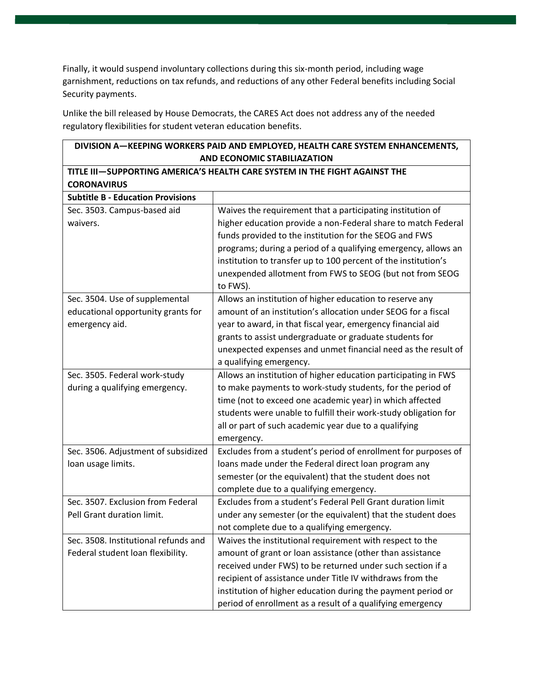Finally, it would suspend involuntary collections during this six-month period, including wage garnishment, reductions on tax refunds, and reductions of any other Federal benefits including Social Security payments.

Unlike the bill released by House Democrats, the CARES Act does not address any of the needed regulatory flexibilities for student veteran education benefits.

| AND ECONOMIC STABILIAZATION                                                                                               |  |
|---------------------------------------------------------------------------------------------------------------------------|--|
| TITLE III-SUPPORTING AMERICA'S HEALTH CARE SYSTEM IN THE FIGHT AGAINST THE                                                |  |
|                                                                                                                           |  |
|                                                                                                                           |  |
| Waives the requirement that a participating institution of                                                                |  |
| higher education provide a non-Federal share to match Federal                                                             |  |
| funds provided to the institution for the SEOG and FWS                                                                    |  |
| programs; during a period of a qualifying emergency, allows an                                                            |  |
| institution to transfer up to 100 percent of the institution's                                                            |  |
| unexpended allotment from FWS to SEOG (but not from SEOG                                                                  |  |
| Allows an institution of higher education to reserve any                                                                  |  |
| amount of an institution's allocation under SEOG for a fiscal                                                             |  |
| year to award, in that fiscal year, emergency financial aid                                                               |  |
| grants to assist undergraduate or graduate students for                                                                   |  |
| unexpected expenses and unmet financial need as the result of                                                             |  |
|                                                                                                                           |  |
| Allows an institution of higher education participating in FWS                                                            |  |
| to make payments to work-study students, for the period of                                                                |  |
| time (not to exceed one academic year) in which affected                                                                  |  |
| students were unable to fulfill their work-study obligation for                                                           |  |
| all or part of such academic year due to a qualifying                                                                     |  |
|                                                                                                                           |  |
| Excludes from a student's period of enrollment for purposes of                                                            |  |
| loans made under the Federal direct loan program any                                                                      |  |
| semester (or the equivalent) that the student does not                                                                    |  |
| complete due to a qualifying emergency.                                                                                   |  |
| Excludes from a student's Federal Pell Grant duration limit                                                               |  |
| under any semester (or the equivalent) that the student does                                                              |  |
| not complete due to a qualifying emergency.                                                                               |  |
| Waives the institutional requirement with respect to the                                                                  |  |
| amount of grant or loan assistance (other than assistance                                                                 |  |
| received under FWS) to be returned under such section if a                                                                |  |
| recipient of assistance under Title IV withdraws from the<br>institution of higher education during the payment period or |  |
| period of enrollment as a result of a qualifying emergency                                                                |  |
|                                                                                                                           |  |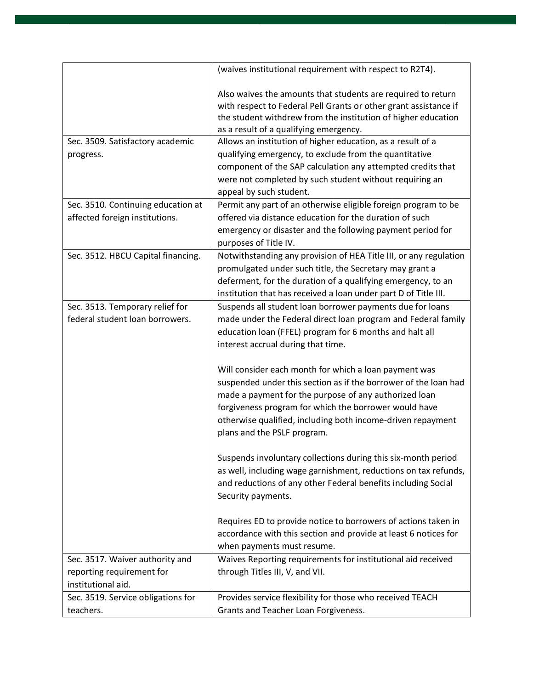|                                    | (waives institutional requirement with respect to R2T4).          |
|------------------------------------|-------------------------------------------------------------------|
|                                    |                                                                   |
|                                    | Also waives the amounts that students are required to return      |
|                                    | with respect to Federal Pell Grants or other grant assistance if  |
|                                    | the student withdrew from the institution of higher education     |
|                                    | as a result of a qualifying emergency.                            |
| Sec. 3509. Satisfactory academic   | Allows an institution of higher education, as a result of a       |
| progress.                          | qualifying emergency, to exclude from the quantitative            |
|                                    | component of the SAP calculation any attempted credits that       |
|                                    | were not completed by such student without requiring an           |
|                                    | appeal by such student.                                           |
| Sec. 3510. Continuing education at | Permit any part of an otherwise eligible foreign program to be    |
| affected foreign institutions.     | offered via distance education for the duration of such           |
|                                    | emergency or disaster and the following payment period for        |
|                                    | purposes of Title IV.                                             |
| Sec. 3512. HBCU Capital financing. | Notwithstanding any provision of HEA Title III, or any regulation |
|                                    | promulgated under such title, the Secretary may grant a           |
|                                    | deferment, for the duration of a qualifying emergency, to an      |
|                                    | institution that has received a loan under part D of Title III.   |
| Sec. 3513. Temporary relief for    | Suspends all student loan borrower payments due for loans         |
| federal student loan borrowers.    | made under the Federal direct loan program and Federal family     |
|                                    | education loan (FFEL) program for 6 months and halt all           |
|                                    | interest accrual during that time.                                |
|                                    |                                                                   |
|                                    | Will consider each month for which a loan payment was             |
|                                    | suspended under this section as if the borrower of the loan had   |
|                                    | made a payment for the purpose of any authorized loan             |
|                                    | forgiveness program for which the borrower would have             |
|                                    | otherwise qualified, including both income-driven repayment       |
|                                    | plans and the PSLF program.                                       |
|                                    |                                                                   |
|                                    | Suspends involuntary collections during this six-month period     |
|                                    | as well, including wage garnishment, reductions on tax refunds,   |
|                                    | and reductions of any other Federal benefits including Social     |
|                                    |                                                                   |
|                                    | Security payments.                                                |
|                                    |                                                                   |
|                                    | Requires ED to provide notice to borrowers of actions taken in    |
|                                    | accordance with this section and provide at least 6 notices for   |
|                                    | when payments must resume.                                        |
| Sec. 3517. Waiver authority and    | Waives Reporting requirements for institutional aid received      |
| reporting requirement for          | through Titles III, V, and VII.                                   |
| institutional aid.                 |                                                                   |
| Sec. 3519. Service obligations for | Provides service flexibility for those who received TEACH         |
| teachers.                          | Grants and Teacher Loan Forgiveness.                              |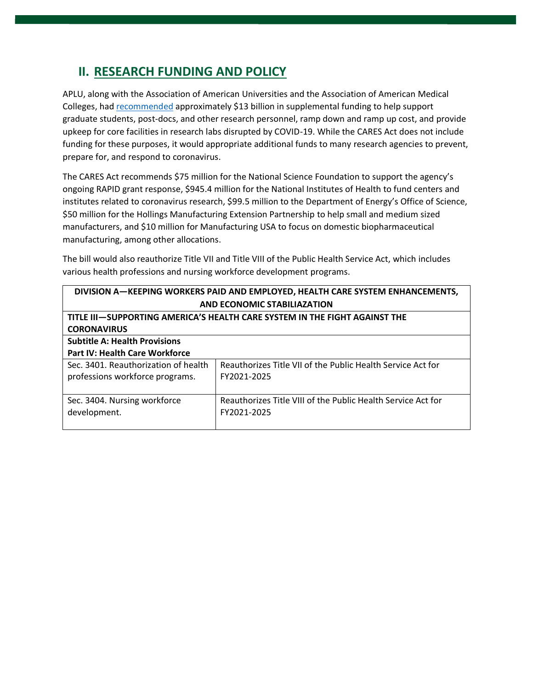#### **II. RESEARCH FUNDING AND POLICY**

APLU, along with the Association of American Universities and the Association of American Medical Colleges, ha[d recommended](https://www.aplu.org/members/councils/governmental-affairs/CGA-library/association-letter-covid-19-research-relief-letter/file) approximately \$13 billion in supplemental funding to help support graduate students, post-docs, and other research personnel, ramp down and ramp up cost, and provide upkeep for core facilities in research labs disrupted by COVID-19. While the CARES Act does not include funding for these purposes, it would appropriate additional funds to many research agencies to prevent, prepare for, and respond to coronavirus.

The CARES Act recommends \$75 million for the National Science Foundation to support the agency's ongoing RAPID grant response, \$945.4 million for the National Institutes of Health to fund centers and institutes related to coronavirus research, \$99.5 million to the Department of Energy's Office of Science, \$50 million for the Hollings Manufacturing Extension Partnership to help small and medium sized manufacturers, and \$10 million for Manufacturing USA to focus on domestic biopharmaceutical manufacturing, among other allocations.

The bill would also reauthorize Title VII and Title VIII of the Public Health Service Act, which includes various health professions and nursing workforce development programs.

| DIVISION A-KEEPING WORKERS PAID AND EMPLOYED, HEALTH CARE SYSTEM ENHANCEMENTS, |                                                              |  |
|--------------------------------------------------------------------------------|--------------------------------------------------------------|--|
| AND ECONOMIC STABILIAZATION                                                    |                                                              |  |
| TITLE III-SUPPORTING AMERICA'S HEALTH CARE SYSTEM IN THE FIGHT AGAINST THE     |                                                              |  |
| <b>CORONAVIRUS</b>                                                             |                                                              |  |
| <b>Subtitle A: Health Provisions</b>                                           |                                                              |  |
| <b>Part IV: Health Care Workforce</b>                                          |                                                              |  |
| Sec. 3401. Reauthorization of health                                           | Reauthorizes Title VII of the Public Health Service Act for  |  |
| professions workforce programs.                                                | FY2021-2025                                                  |  |
|                                                                                |                                                              |  |
| Sec. 3404. Nursing workforce                                                   | Reauthorizes Title VIII of the Public Health Service Act for |  |
| development.                                                                   | FY2021-2025                                                  |  |
|                                                                                |                                                              |  |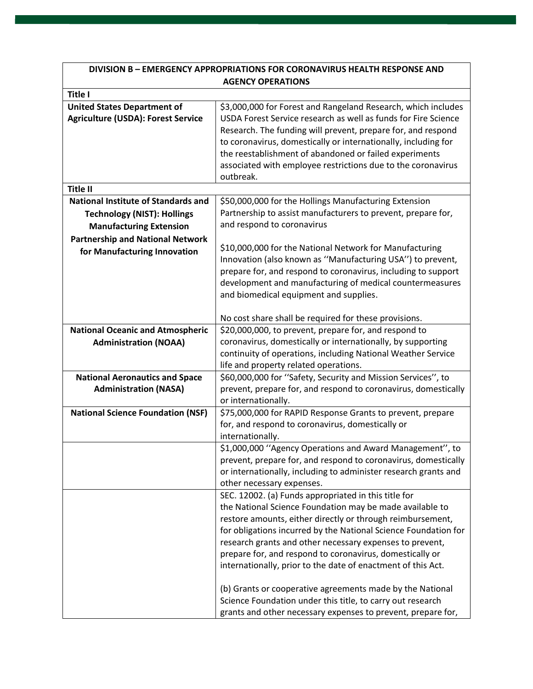| <b>DIVISION B - EMERGENCY APPROPRIATIONS FOR CORONAVIRUS HEALTH RESPONSE AND</b>                                   |                                                                                                                                                                                                                                                                                                                                                                                                                                                                                                                                                                                                                                      |
|--------------------------------------------------------------------------------------------------------------------|--------------------------------------------------------------------------------------------------------------------------------------------------------------------------------------------------------------------------------------------------------------------------------------------------------------------------------------------------------------------------------------------------------------------------------------------------------------------------------------------------------------------------------------------------------------------------------------------------------------------------------------|
| <b>AGENCY OPERATIONS</b>                                                                                           |                                                                                                                                                                                                                                                                                                                                                                                                                                                                                                                                                                                                                                      |
| <b>Title I</b>                                                                                                     |                                                                                                                                                                                                                                                                                                                                                                                                                                                                                                                                                                                                                                      |
| <b>United States Department of</b><br><b>Agriculture (USDA): Forest Service</b>                                    | \$3,000,000 for Forest and Rangeland Research, which includes<br>USDA Forest Service research as well as funds for Fire Science<br>Research. The funding will prevent, prepare for, and respond<br>to coronavirus, domestically or internationally, including for<br>the reestablishment of abandoned or failed experiments<br>associated with employee restrictions due to the coronavirus<br>outbreak.                                                                                                                                                                                                                             |
| <b>Title II</b>                                                                                                    |                                                                                                                                                                                                                                                                                                                                                                                                                                                                                                                                                                                                                                      |
| <b>National Institute of Standards and</b><br><b>Technology (NIST): Hollings</b><br><b>Manufacturing Extension</b> | \$50,000,000 for the Hollings Manufacturing Extension<br>Partnership to assist manufacturers to prevent, prepare for,<br>and respond to coronavirus                                                                                                                                                                                                                                                                                                                                                                                                                                                                                  |
| <b>Partnership and National Network</b><br>for Manufacturing Innovation                                            | \$10,000,000 for the National Network for Manufacturing<br>Innovation (also known as "Manufacturing USA") to prevent,<br>prepare for, and respond to coronavirus, including to support<br>development and manufacturing of medical countermeasures<br>and biomedical equipment and supplies.                                                                                                                                                                                                                                                                                                                                         |
|                                                                                                                    | No cost share shall be required for these provisions.                                                                                                                                                                                                                                                                                                                                                                                                                                                                                                                                                                                |
| <b>National Oceanic and Atmospheric</b><br><b>Administration (NOAA)</b>                                            | \$20,000,000, to prevent, prepare for, and respond to<br>coronavirus, domestically or internationally, by supporting<br>continuity of operations, including National Weather Service<br>life and property related operations.                                                                                                                                                                                                                                                                                                                                                                                                        |
| <b>National Aeronautics and Space</b><br><b>Administration (NASA)</b>                                              | \$60,000,000 for "Safety, Security and Mission Services", to<br>prevent, prepare for, and respond to coronavirus, domestically<br>or internationally.                                                                                                                                                                                                                                                                                                                                                                                                                                                                                |
| <b>National Science Foundation (NSF)</b>                                                                           | \$75,000,000 for RAPID Response Grants to prevent, prepare<br>for, and respond to coronavirus, domestically or<br>internationally.                                                                                                                                                                                                                                                                                                                                                                                                                                                                                                   |
|                                                                                                                    | \$1,000,000 "Agency Operations and Award Management", to<br>prevent, prepare for, and respond to coronavirus, domestically<br>or internationally, including to administer research grants and<br>other necessary expenses.                                                                                                                                                                                                                                                                                                                                                                                                           |
|                                                                                                                    | SEC. 12002. (a) Funds appropriated in this title for<br>the National Science Foundation may be made available to<br>restore amounts, either directly or through reimbursement,<br>for obligations incurred by the National Science Foundation for<br>research grants and other necessary expenses to prevent,<br>prepare for, and respond to coronavirus, domestically or<br>internationally, prior to the date of enactment of this Act.<br>(b) Grants or cooperative agreements made by the National<br>Science Foundation under this title, to carry out research<br>grants and other necessary expenses to prevent, prepare for, |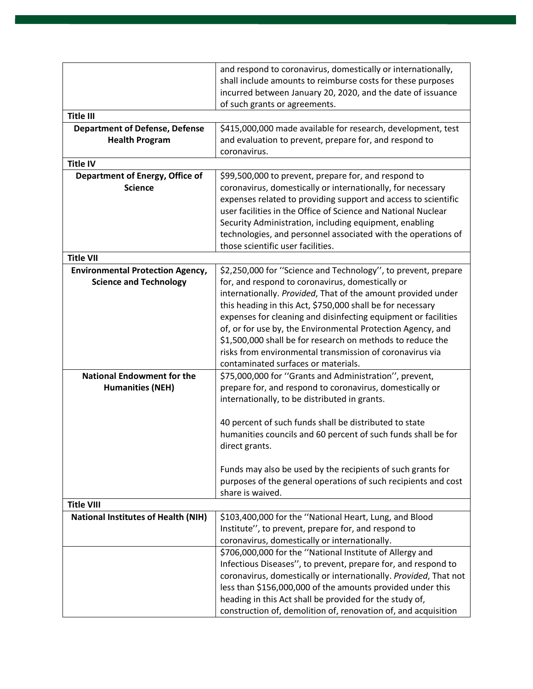|                                            | and respond to coronavirus, domestically or internationally,                                                            |
|--------------------------------------------|-------------------------------------------------------------------------------------------------------------------------|
|                                            | shall include amounts to reimburse costs for these purposes                                                             |
|                                            | incurred between January 20, 2020, and the date of issuance                                                             |
|                                            | of such grants or agreements.                                                                                           |
| <b>Title III</b>                           |                                                                                                                         |
| <b>Department of Defense, Defense</b>      | \$415,000,000 made available for research, development, test                                                            |
| <b>Health Program</b>                      | and evaluation to prevent, prepare for, and respond to                                                                  |
|                                            | coronavirus.                                                                                                            |
| <b>Title IV</b>                            |                                                                                                                         |
| Department of Energy, Office of            | \$99,500,000 to prevent, prepare for, and respond to                                                                    |
| <b>Science</b>                             | coronavirus, domestically or internationally, for necessary                                                             |
|                                            | expenses related to providing support and access to scientific                                                          |
|                                            | user facilities in the Office of Science and National Nuclear                                                           |
|                                            | Security Administration, including equipment, enabling<br>technologies, and personnel associated with the operations of |
|                                            | those scientific user facilities.                                                                                       |
| <b>Title VII</b>                           |                                                                                                                         |
| <b>Environmental Protection Agency,</b>    | \$2,250,000 for "Science and Technology", to prevent, prepare                                                           |
| <b>Science and Technology</b>              | for, and respond to coronavirus, domestically or                                                                        |
|                                            | internationally. Provided, That of the amount provided under                                                            |
|                                            | this heading in this Act, \$750,000 shall be for necessary                                                              |
|                                            | expenses for cleaning and disinfecting equipment or facilities                                                          |
|                                            | of, or for use by, the Environmental Protection Agency, and                                                             |
|                                            | \$1,500,000 shall be for research on methods to reduce the                                                              |
|                                            | risks from environmental transmission of coronavirus via                                                                |
|                                            | contaminated surfaces or materials.                                                                                     |
| <b>National Endowment for the</b>          | \$75,000,000 for "Grants and Administration", prevent,                                                                  |
| <b>Humanities (NEH)</b>                    | prepare for, and respond to coronavirus, domestically or                                                                |
|                                            | internationally, to be distributed in grants.                                                                           |
|                                            |                                                                                                                         |
|                                            | 40 percent of such funds shall be distributed to state<br>humanities councils and 60 percent of such funds shall be for |
|                                            | direct grants.                                                                                                          |
|                                            |                                                                                                                         |
|                                            | Funds may also be used by the recipients of such grants for                                                             |
|                                            | purposes of the general operations of such recipients and cost                                                          |
|                                            | share is waived.                                                                                                        |
| <b>Title VIII</b>                          |                                                                                                                         |
| <b>National Institutes of Health (NIH)</b> | \$103,400,000 for the "National Heart, Lung, and Blood                                                                  |
|                                            | Institute", to prevent, prepare for, and respond to                                                                     |
|                                            | coronavirus, domestically or internationally.                                                                           |
|                                            | \$706,000,000 for the "National Institute of Allergy and                                                                |
|                                            | Infectious Diseases", to prevent, prepare for, and respond to                                                           |
|                                            | coronavirus, domestically or internationally. Provided, That not                                                        |
|                                            | less than \$156,000,000 of the amounts provided under this                                                              |
|                                            | heading in this Act shall be provided for the study of,                                                                 |
|                                            | construction of, demolition of, renovation of, and acquisition                                                          |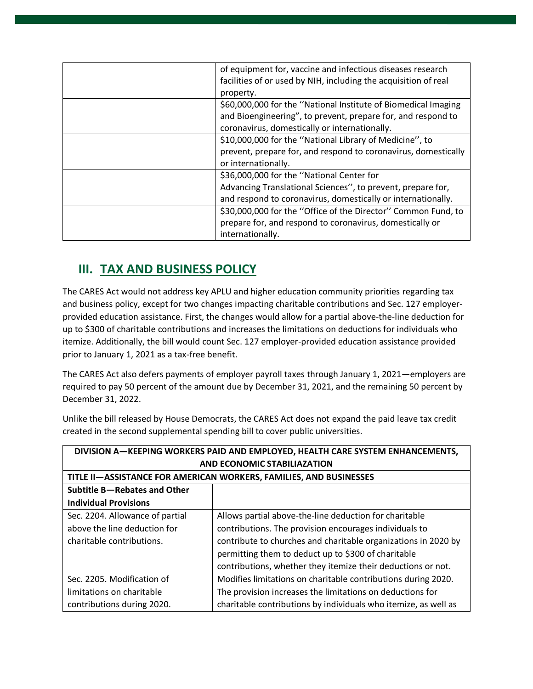| of equipment for, vaccine and infectious diseases research      |
|-----------------------------------------------------------------|
| facilities of or used by NIH, including the acquisition of real |
| property.                                                       |
| \$60,000,000 for the "National Institute of Biomedical Imaging  |
| and Bioengineering", to prevent, prepare for, and respond to    |
| coronavirus, domestically or internationally.                   |
| \$10,000,000 for the "National Library of Medicine", to         |
| prevent, prepare for, and respond to coronavirus, domestically  |
| or internationally.                                             |
| \$36,000,000 for the "National Center for                       |
| Advancing Translational Sciences", to prevent, prepare for,     |
| and respond to coronavirus, domestically or internationally.    |
| \$30,000,000 for the "Office of the Director" Common Fund, to   |
| prepare for, and respond to coronavirus, domestically or        |
| internationally.                                                |

## **III. TAX AND BUSINESS POLICY**

The CARES Act would not address key APLU and higher education community priorities regarding tax and business policy, except for two changes impacting charitable contributions and Sec. 127 employerprovided education assistance. First, the changes would allow for a partial above-the-line deduction for up to \$300 of charitable contributions and increases the limitations on deductions for individuals who itemize. Additionally, the bill would count Sec. 127 employer-provided education assistance provided prior to January 1, 2021 as a tax-free benefit.

The CARES Act also defers payments of employer payroll taxes through January 1, 2021—employers are required to pay 50 percent of the amount due by December 31, 2021, and the remaining 50 percent by December 31, 2022.

Unlike the bill released by House Democrats, the CARES Act does not expand the paid leave tax credit created in the second supplemental spending bill to cover public universities.

| DIVISION A-KEEPING WORKERS PAID AND EMPLOYED, HEALTH CARE SYSTEM ENHANCEMENTS, |                                                                 |
|--------------------------------------------------------------------------------|-----------------------------------------------------------------|
| <b>AND ECONOMIC STABILIAZATION</b>                                             |                                                                 |
| TITLE II-ASSISTANCE FOR AMERICAN WORKERS, FAMILIES, AND BUSINESSES             |                                                                 |
| Subtitle B-Rebates and Other                                                   |                                                                 |
| <b>Individual Provisions</b>                                                   |                                                                 |
| Sec. 2204. Allowance of partial                                                | Allows partial above-the-line deduction for charitable          |
| above the line deduction for                                                   | contributions. The provision encourages individuals to          |
| charitable contributions.                                                      | contribute to churches and charitable organizations in 2020 by  |
|                                                                                | permitting them to deduct up to \$300 of charitable             |
|                                                                                | contributions, whether they itemize their deductions or not.    |
| Sec. 2205. Modification of                                                     | Modifies limitations on charitable contributions during 2020.   |
| limitations on charitable                                                      | The provision increases the limitations on deductions for       |
| contributions during 2020.                                                     | charitable contributions by individuals who itemize, as well as |